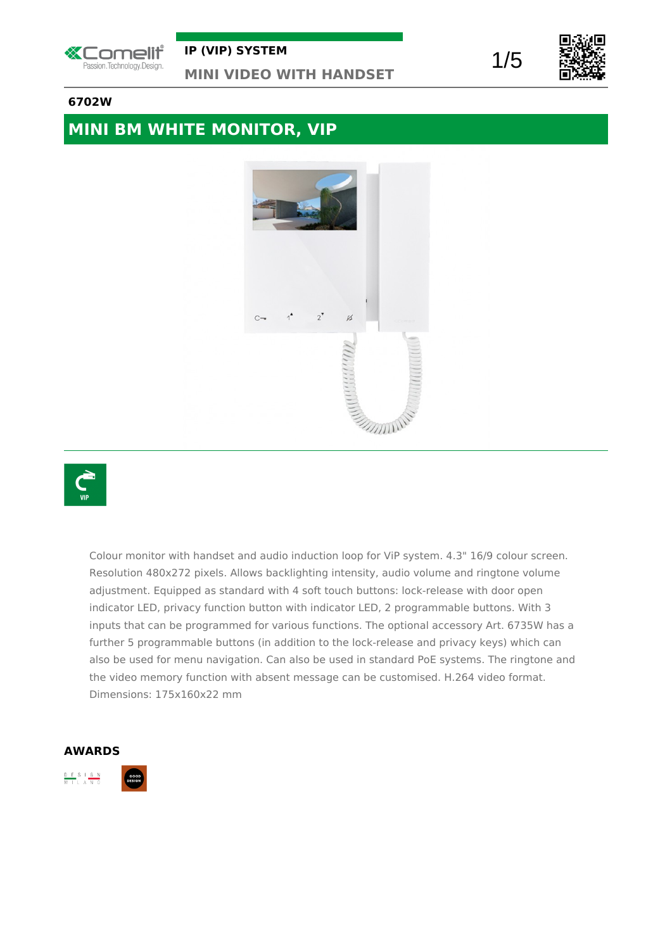

# 1/5



#### **6702W**

## **MINI BM WHITE MONITOR, VIP**





Colour monitor with handset and audio induction loop for ViP system. 4.3" 16/9 colour screen. Resolution 480x272 pixels. Allows backlighting intensity, audio volume and ringtone volume adjustment. Equipped as standard with 4 soft touch buttons: lock-release with door open indicator LED, privacy function button with indicator LED, 2 programmable buttons. With 3 inputs that can be programmed for various functions. The optional accessory Art. 6735W has a further 5 programmable buttons (in addition to the lock-release and privacy keys) which can also be used for menu navigation. Can also be used in standard PoE systems. The ringtone and the video memory function with absent message can be customised. H.264 video format. Dimensions: 175x160x22 mm

#### **AWARDS**

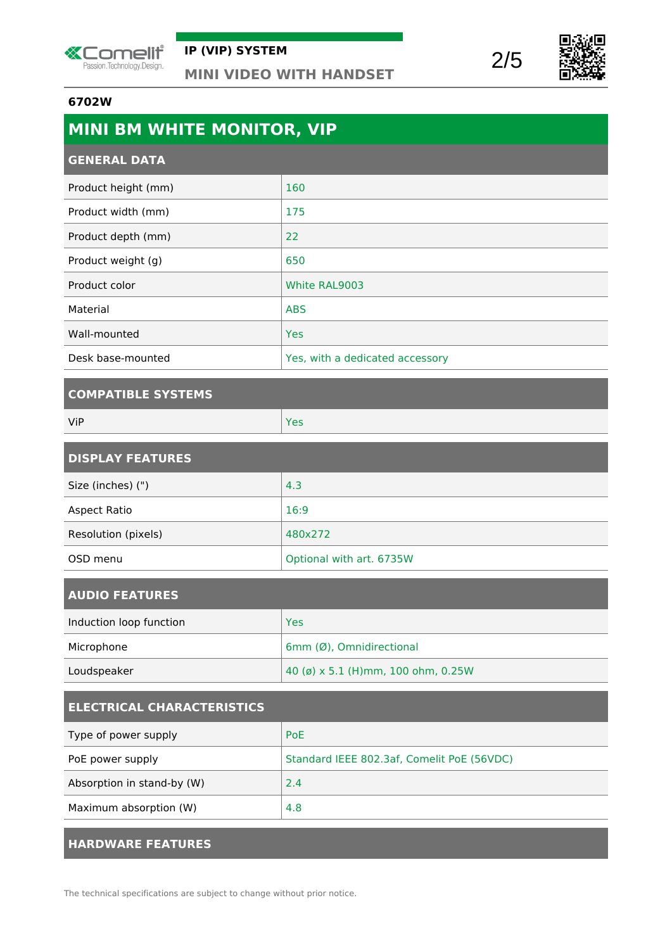





#### **6702W**

| <b>MINI BM WHITE MONITOR, VIP</b> |                                 |
|-----------------------------------|---------------------------------|
| <b>GENERAL DATA</b>               |                                 |
| Product height (mm)               | 160                             |
| Product width (mm)                | 175                             |
| Product depth (mm)                | 22                              |
| Product weight (g)                | 650                             |
| Product color                     | White RAL9003                   |
| Material                          | <b>ABS</b>                      |
| Wall-mounted                      | <b>Yes</b>                      |
| Desk base-mounted                 | Yes, with a dedicated accessory |
|                                   |                                 |

#### **COMPATIBLE SYSTEMS**

| ViP | Yes |
|-----|-----|
|     |     |

| <b>DISPLAY FEATURES</b> |                          |
|-------------------------|--------------------------|
| Size (inches) (")       | 4.3                      |
| Aspect Ratio            | 16:9                     |
| Resolution (pixels)     | 480x272                  |
| OSD menu                | Optional with art. 6735W |

| <b>AUDIO FEATURES</b>   |                                    |
|-------------------------|------------------------------------|
| Induction loop function | Yes                                |
| Microphone              | 6mm (Ø), Omnidirectional           |
| Loudspeaker             | 40 (ø) x 5.1 (H)mm, 100 ohm, 0.25W |

| <b>ELECTRICAL CHARACTERISTICS</b> |                                            |
|-----------------------------------|--------------------------------------------|
| Type of power supply              | <b>PoE</b>                                 |
| PoE power supply                  | Standard IEEE 802.3af, Comelit PoE (56VDC) |
| Absorption in stand-by (W)        | 2.4                                        |
| Maximum absorption (W)            | 4.8                                        |
|                                   |                                            |

#### **HARDWARE FEATURES**

The technical specifications are subject to change without prior notice.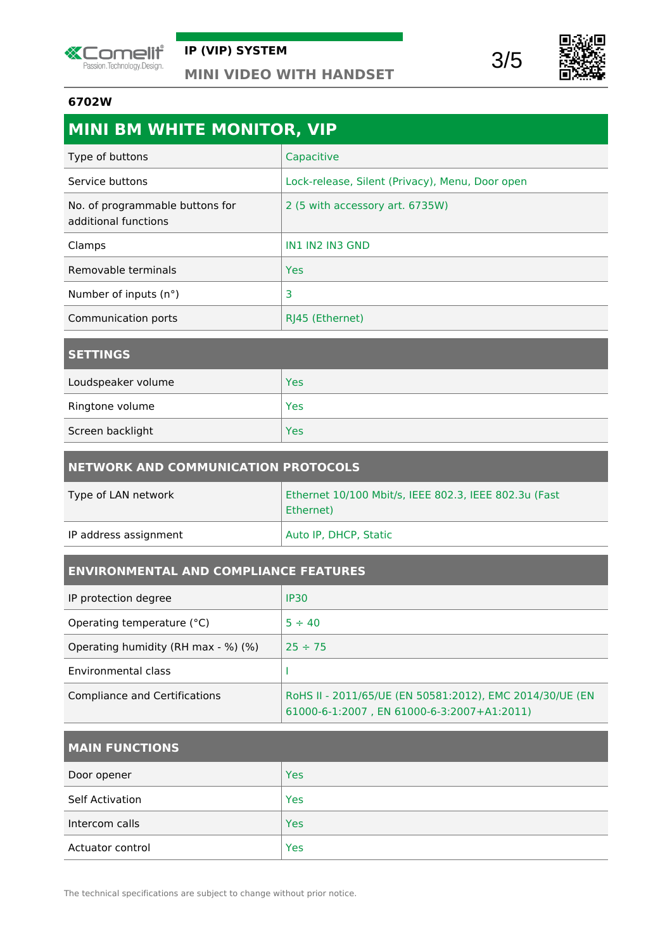





#### **6702W**

| <b>MINI BM WHITE MONITOR, VIP</b>                       |                                                 |
|---------------------------------------------------------|-------------------------------------------------|
| Type of buttons                                         | Capacitive                                      |
| Service buttons                                         | Lock-release, Silent (Privacy), Menu, Door open |
| No. of programmable buttons for<br>additional functions | 2 (5 with accessory art. 6735W)                 |
| Clamps                                                  | IN1 IN2 IN3 GND                                 |
| Removable terminals                                     | <b>Yes</b>                                      |
| Number of inputs (n°)                                   | 3                                               |
| Communication ports                                     | RJ45 (Ethernet)                                 |
| <b>SETTINGS</b>                                         |                                                 |
| Loudspeaker volume                                      | <b>Yes</b>                                      |

| Ringtone volume  | Yes |
|------------------|-----|
| Screen backlight | Yes |

| NETWORK AND COMMUNICATION PROTOCOLS |                                                                    |
|-------------------------------------|--------------------------------------------------------------------|
| Type of LAN network                 | Ethernet 10/100 Mbit/s, IEEE 802.3, IEEE 802.3u (Fast<br>Ethernet) |
| IP address assignment               | Auto IP, DHCP, Static                                              |

### **ENVIRONMENTAL AND COMPLIANCE FEATURES**

| IP protection degree                | <b>IP30</b>                                                                                            |
|-------------------------------------|--------------------------------------------------------------------------------------------------------|
| Operating temperature (°C)          | $5 \div 40$                                                                                            |
| Operating humidity (RH max - %) (%) | $25 \div 75$                                                                                           |
| Environmental class                 |                                                                                                        |
| Compliance and Certifications       | RoHS II - 2011/65/UE (EN 50581:2012), EMC 2014/30/UE (EN<br>61000-6-1:2007, EN 61000-6-3:2007+A1:2011) |

# **MAIN FUNCTIONS**

| Door opener            | <b>Yes</b> |
|------------------------|------------|
| <b>Self Activation</b> | Yes        |
| Intercom calls         | <b>Yes</b> |
| Actuator control       | Yes        |

The technical specifications are subject to change without prior notice.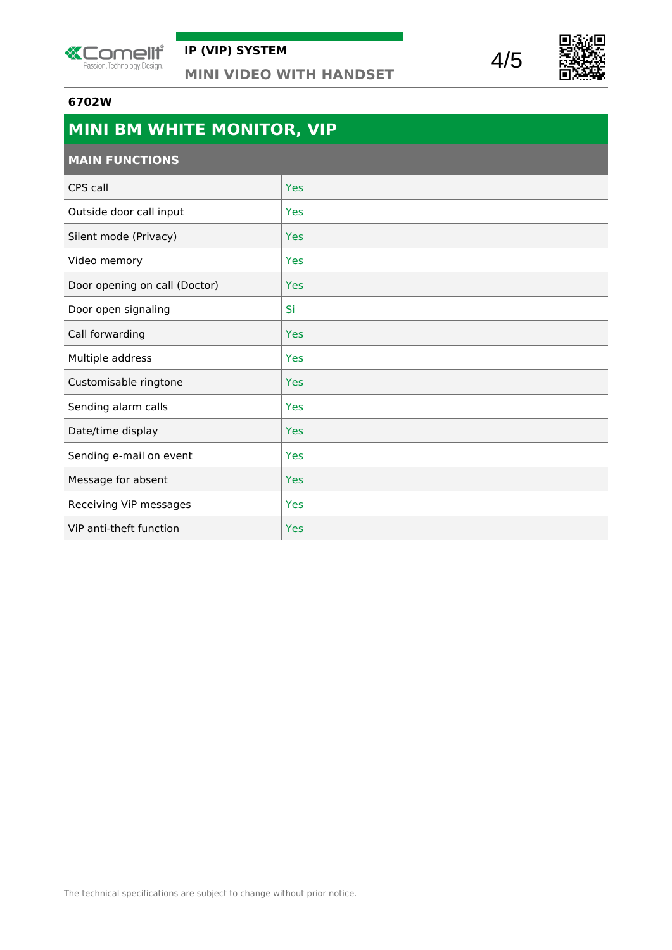





#### **6702W**

| MINI BM WHITE MONITOR, VIP    |            |
|-------------------------------|------------|
| <b>MAIN FUNCTIONS</b>         |            |
| CPS call                      | Yes        |
| Outside door call input       | <b>Yes</b> |
| Silent mode (Privacy)         | Yes        |
| Video memory                  | Yes        |
| Door opening on call (Doctor) | <b>Yes</b> |
| Door open signaling           | Si         |
| Call forwarding               | <b>Yes</b> |
| Multiple address              | Yes        |
| Customisable ringtone         | Yes        |
| Sending alarm calls           | Yes        |
| Date/time display             | Yes        |
| Sending e-mail on event       | Yes        |
| Message for absent            | <b>Yes</b> |
| Receiving ViP messages        | Yes        |
| ViP anti-theft function       | <b>Yes</b> |